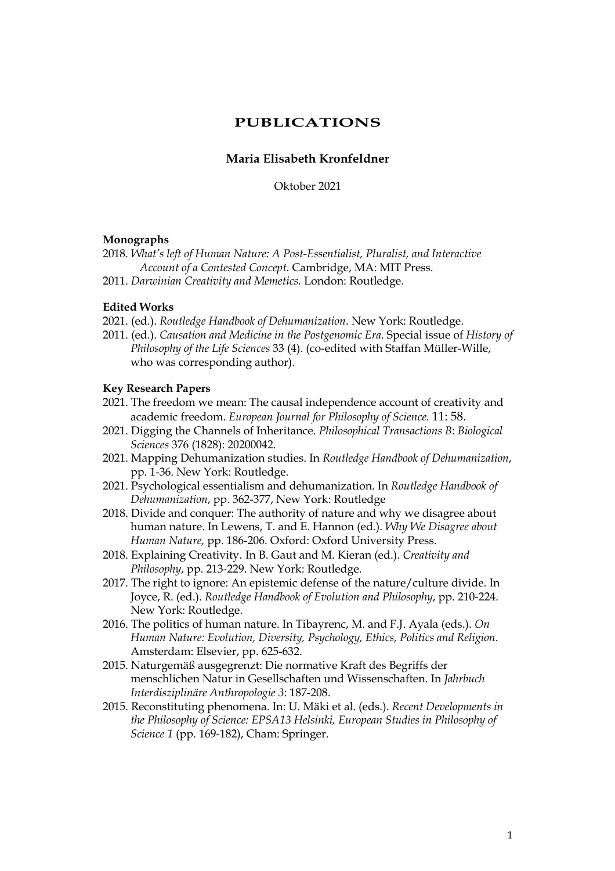# **PUBLICATIONS**

# **Maria Elisabeth Kronfeldner**

Oktober 2021

#### **Monographs**

2018. *What's left of Human Nature: A Post-Essentialist, Pluralist, and Interactive Account of a Contested Concept*. Cambridge, MA: MIT Press.

2011. *Darwinian Creativity and Memetics.* London: Routledge.

### **Edited Works**

- 2021. (ed.). *Routledge Handbook of Dehumanization*. New York: Routledge.
- 2011. (ed.). *Causation and Medicine in the Postgenomic Era*. Special issue of *History of Philosophy of the Life Sciences* 33 (4). (co-edited with Staffan Müller-Wille, who was corresponding author).

#### **Key Research Papers**

- 2021. The freedom we mean: The causal independence account of creativity and academic freedom. *European Journal for Philosophy of Science.* 11: 58.
- 2021. Digging the Channels of Inheritance. *Philosophical Transactions B*: *Biological Sciences* 376 (1828): 20200042.
- 2021. Mapping Dehumanization studies. In *Routledge Handbook of Dehumanization*, pp. 1-36. New York: Routledge.
- 2021. Psychological essentialism and dehumanization. In *Routledge Handbook of Dehumanization*, pp. 362-377, New York: Routledge
- 2018. Divide and conquer: The authority of nature and why we disagree about human nature. In Lewens, T. and E. Hannon (ed.). *Why We Disagree about Human Nature,* pp. 186-206. Oxford: Oxford University Press.
- 2018. Explaining Creativity. In B. Gaut and M. Kieran (ed.). *Creativity and Philosophy*, pp. 213-229. New York: Routledge.
- 2017. The right to ignore: An epistemic defense of the nature/culture divide. In Joyce, R. (ed.). *Routledge Handbook of Evolution and Philosophy*, pp. 210-224. New York: Routledge.
- 2016. The politics of human nature. In Tibayrenc, M. and F.J. Ayala (eds.). *On Human Nature: Evolution, Diversity, Psychology, Ethics, Politics and Religion*. Amsterdam: Elsevier, pp. 625-632.
- 2015. Naturgemäß ausgegrenzt: Die normative Kraft des Begriffs der menschlichen Natur in Gesellschaften und Wissenschaften. In *Jahrbuch Interdisziplinäre Anthropologie 3*: 187-208.
- 2015. Reconstituting phenomena. In: U. Mäki et al. (eds.). *Recent Developments in the Philosophy of Science: EPSA13 Helsinki, European Studies in Philosophy of Science 1* (pp. 169-182), Cham: Springer.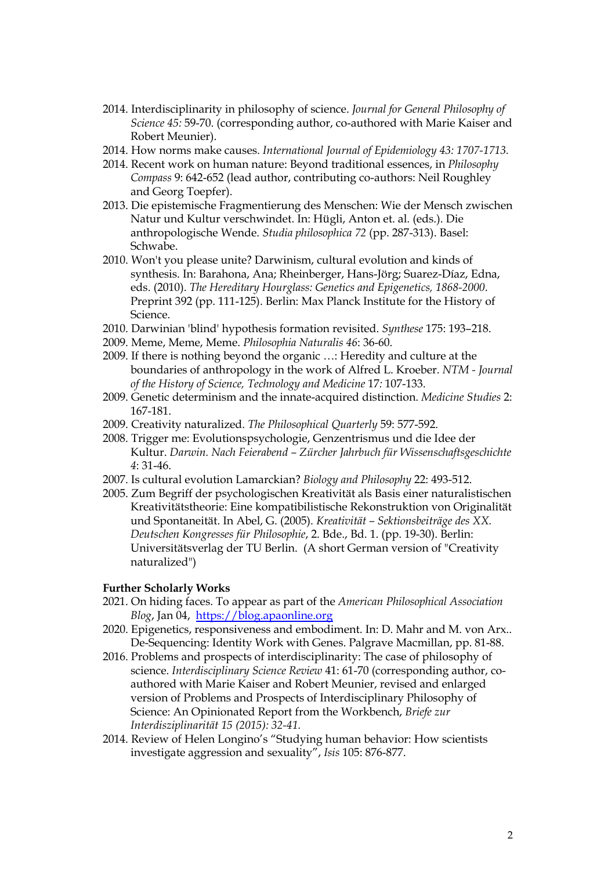- 2014. Interdisciplinarity in philosophy of science. *Journal for General Philosophy of Science 45:* 59-70. (corresponding author, co-authored with Marie Kaiser and Robert Meunier).
- 2014. How norms make causes. *International Journal of Epidemiology 43: 1707-1713.*
- 2014. Recent work on human nature: Beyond traditional essences, in *Philosophy Compass* 9: 642-652 (lead author, contributing co-authors: Neil Roughley and Georg Toepfer).
- 2013. Die epistemische Fragmentierung des Menschen: Wie der Mensch zwischen Natur und Kultur verschwindet. In: Hügli, Anton et. al. (eds.). Die anthropologische Wende. *Studia philosophica 72* (pp. 287-313). Basel: Schwabe.
- 2010. Won't you please unite? Darwinism, cultural evolution and kinds of synthesis. In: Barahona, Ana; Rheinberger, Hans-Jörg; Suarez-Díaz, Edna, eds. (2010). *The Hereditary Hourglass: Genetics and Epigenetics, 1868-2000*. Preprint 392 (pp. 111-125). Berlin: Max Planck Institute for the History of Science.
- 2010. Darwinian 'blind' hypothesis formation revisited. *Synthese* 175: 193–218.
- 2009. Meme, Meme, Meme. *Philosophia Naturalis 46*: 36-60.
- 2009. If there is nothing beyond the organic …: Heredity and culture at the boundaries of anthropology in the work of Alfred L. Kroeber. *NTM - Journal of the History of Science, Technology and Medicine* 17*:* 107-133.
- 2009. Genetic determinism and the innate-acquired distinction. *Medicine Studies* 2: 167-181.
- 2009. Creativity naturalized. *The Philosophical Quarterly* 59: 577-592.
- 2008. Trigger me: Evolutionspsychologie, Genzentrismus und die Idee der Kultur. *Darwin. Nach Feierabend – Zürcher Jahrbuch für Wissenschaftsgeschichte 4*: 31-46.
- 2007. Is cultural evolution Lamarckian? *Biology and Philosophy* 22: 493-512.
- 2005. Zum Begriff der psychologischen Kreativität als Basis einer naturalistischen Kreativitätstheorie: Eine kompatibilistische Rekonstruktion von Originalität und Spontaneität. In Abel, G. (2005). *Kreativität – Sektionsbeiträge des XX. Deutschen Kongresses für Philosophie*, 2. Bde., Bd. 1. (pp. 19-30). Berlin: Universitätsverlag der TU Berlin. (A short German version of "Creativity naturalized")

### **Further Scholarly Works**

- 2021. On hiding faces. To appear as part of the *American Philosophical Association Blog*, Jan 04, https://blog.apaonline.org
- 2020. Epigenetics, responsiveness and embodiment. In: D. Mahr and M. von Arx.. De-Sequencing: Identity Work with Genes. Palgrave Macmillan, pp. 81-88.
- 2016. Problems and prospects of interdisciplinarity: The case of philosophy of science. *Interdisciplinary Science Review* 41: 61-70 (corresponding author, coauthored with Marie Kaiser and Robert Meunier, revised and enlarged version of Problems and Prospects of Interdisciplinary Philosophy of Science: An Opinionated Report from the Workbench, *Briefe zur Interdisziplinarität 15 (2015): 32-41.*
- 2014. Review of Helen Longino's "Studying human behavior: How scientists investigate aggression and sexuality", *Isis* 105: 876-877.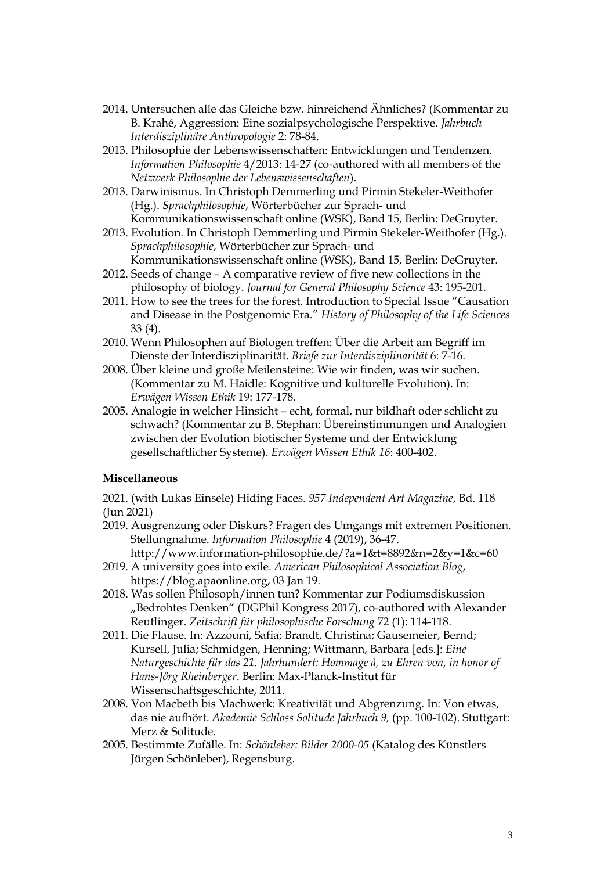- 2014. Untersuchen alle das Gleiche bzw. hinreichend Ähnliches? (Kommentar zu B. Krahé, Aggression: Eine sozialpsychologische Perspektive. *Jahrbuch Interdisziplinäre Anthropologie* 2: 78-84.
- 2013. Philosophie der Lebenswissenschaften: Entwicklungen und Tendenzen. *Information Philosophie* 4/2013: 14-27 (co-authored with all members of the *Netzwerk Philosophie der Lebenswissenschaften*).
- 2013. Darwinismus. In Christoph Demmerling und Pirmin Stekeler-Weithofer (Hg.). *Sprachphilosophie*, Wörterbücher zur Sprach- und Kommunikationswissenschaft online (WSK), Band 15, Berlin: DeGruyter.
- 2013. Evolution. In Christoph Demmerling und Pirmin Stekeler-Weithofer (Hg.). *Sprachphilosophie*, Wörterbücher zur Sprach- und Kommunikationswissenschaft online (WSK), Band 15, Berlin: DeGruyter.
- 2012. Seeds of change A comparative review of five new collections in the philosophy of biology. *Journal for General Philosophy Science* 43: 195-201.
- 2011. How to see the trees for the forest. Introduction to Special Issue "Causation and Disease in the Postgenomic Era." *History of Philosophy of the Life Sciences* 33 (4).
- 2010. Wenn Philosophen auf Biologen treffen: Über die Arbeit am Begriff im Dienste der Interdisziplinarität. *Briefe zur Interdisziplinarität* 6: 7-16.
- 2008. Über kleine und große Meilensteine: Wie wir finden, was wir suchen. (Kommentar zu M. Haidle: Kognitive und kulturelle Evolution). In: *Erwägen Wissen Ethik* 19: 177-178.
- 2005. Analogie in welcher Hinsicht echt, formal, nur bildhaft oder schlicht zu schwach? (Kommentar zu B. Stephan: Übereinstimmungen und Analogien zwischen der Evolution biotischer Systeme und der Entwicklung gesellschaftlicher Systeme). *Erwägen Wissen Ethik 16*: 400-402.

### **Miscellaneous**

2021. (with Lukas Einsele) Hiding Faces. *957 Independent Art Magazine*, Bd. 118 (Jun 2021)

- 2019. Ausgrenzung oder Diskurs? Fragen des Umgangs mit extremen Positionen. Stellungnahme. *Information Philosophie* 4 (2019), 36-47.
	- http://www.information-philosophie.de/?a=1&t=8892&n=2&y=1&c=60
- 2019. A university goes into exile. *American Philosophical Association Blog*, https://blog.apaonline.org, 03 Jan 19.
- 2018. Was sollen Philosoph/innen tun? Kommentar zur Podiumsdiskussion "Bedrohtes Denken" (DGPhil Kongress 2017), co-authored with Alexander Reutlinger. *Zeitschrift für philosophische Forschung* 72 (1): 114-118.
- 2011. Die Flause. In: Azzouni, Safia; Brandt, Christina; Gausemeier, Bernd; Kursell, Julia; Schmidgen, Henning; Wittmann, Barbara [eds.]: *Eine Naturgeschichte für das 21. Jahrhundert: Hommage à, zu Ehren von, in honor of Hans-Jörg Rheinberger*. Berlin: Max-Planck-Institut für Wissenschaftsgeschichte, 2011.
- 2008. Von Macbeth bis Machwerk: Kreativität und Abgrenzung. In: Von etwas, das nie aufhört. *Akademie Schloss Solitude Jahrbuch 9,* (pp. 100-102). Stuttgart: Merz & Solitude.
- 2005. Bestimmte Zufälle. In: *Schönleber: Bilder 2000-05* (Katalog des Künstlers Jürgen Schönleber), Regensburg.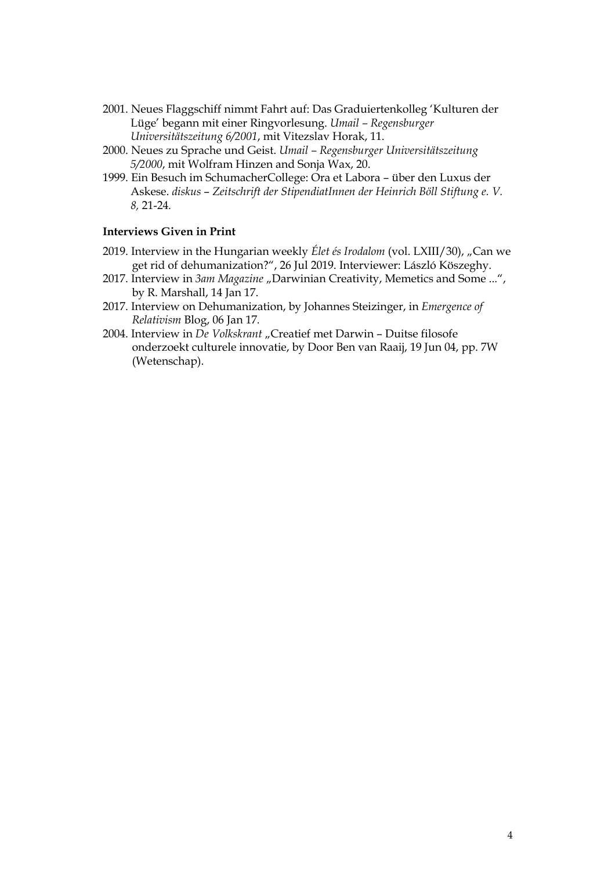- 2001. Neues Flaggschiff nimmt Fahrt auf: Das Graduiertenkolleg 'Kulturen der Lüge' begann mit einer Ringvorlesung. *Umail – Regensburger Universitätszeitung 6/2001*, mit Vitezslav Horak, 11.
- 2000. Neues zu Sprache und Geist. *Umail – Regensburger Universitätszeitung 5/2000*, mit Wolfram Hinzen and Sonja Wax, 20.
- 1999. Ein Besuch im SchumacherCollege: Ora et Labora über den Luxus der Askese. *diskus* – *Zeitschrift der StipendiatInnen der Heinrich Böll Stiftung e. V. 8,* 21-24*.*

# **Interviews Given in Print**

- 2019. Interview in the Hungarian weekly *Élet és Irodalom* (vol. LXIII/30), "Can we get rid of dehumanization?", 26 Jul 2019. Interviewer: László Köszeghy.
- 2017. Interview in *3am Magazine* "Darwinian Creativity, Memetics and Some ...", by R. Marshall, 14 Jan 17.
- 2017. Interview on Dehumanization, by Johannes Steizinger, in *Emergence of Relativism* Blog, 06 Jan 17*.*
- 2004. Interview in *De Volkskrant* "Creatief met Darwin Duitse filosofe onderzoekt culturele innovatie, by Door Ben van Raaij, 19 Jun 04, pp. 7W (Wetenschap).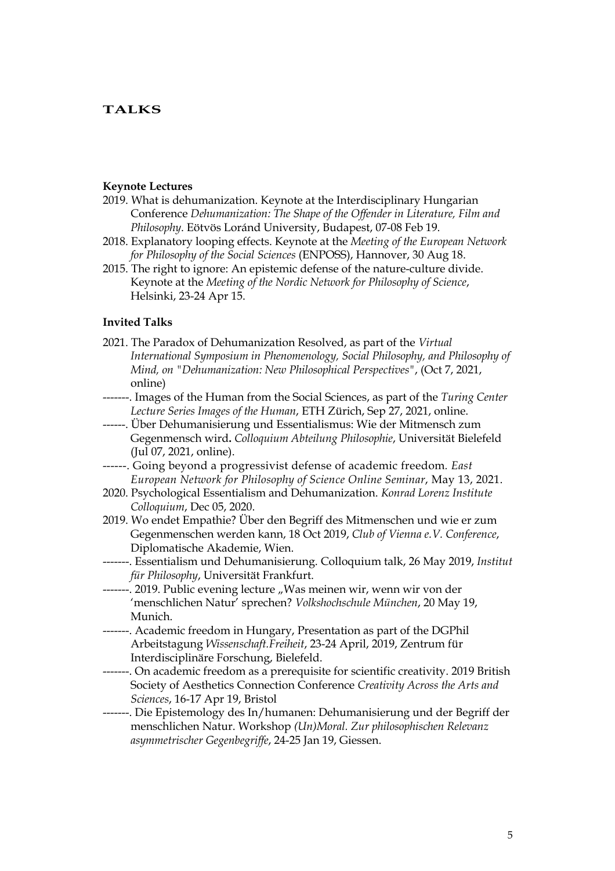# **TALKS**

#### **Keynote Lectures**

- 2019. What is dehumanization. Keynote at the Interdisciplinary Hungarian Conference *Dehumanization: The Shape of the Offender in Literature, Film and Philosophy*. Eötvös Loránd University, Budapest, 07-08 Feb 19.
- 2018. Explanatory looping effects. Keynote at the *Meeting of the European Network for Philosophy of the Social Sciences* (ENPOSS), Hannover, 30 Aug 18.
- 2015. The right to ignore: An epistemic defense of the nature-culture divide. Keynote at the *Meeting of the Nordic Network for Philosophy of Science*, Helsinki, 23-24 Apr 15.

# **Invited Talks**

- 2021. The Paradox of Dehumanization Resolved, as part of the *Virtual International Symposium in Phenomenology, Social Philosophy, and Philosophy of Mind, on "Dehumanization: New Philosophical Perspectives"*, (Oct 7, 2021, online)
- -------. Images of the Human from the Social Sciences, as part of the *Turing Center Lecture Series Images of the Human*, ETH Zürich, Sep 27, 2021, online.
- ------. Über Dehumanisierung und Essentialismus: Wie der Mitmensch zum Gegenmensch wird**.** *Colloquium Abteilung Philosophie*, Universität Bielefeld (Jul 07, 2021, online).
- ------. Going beyond a progressivist defense of academic freedom*. East European Network for Philosophy of Science Online Seminar*, May 13, 2021.
- 2020. Psychological Essentialism and Dehumanization. *Konrad Lorenz Institute Colloquium*, Dec 05, 2020.
- 2019. Wo endet Empathie? Über den Begriff des Mitmenschen und wie er zum Gegenmenschen werden kann, 18 Oct 2019, *Club of Vienna e.V. Conference*, Diplomatische Akademie, Wien.
- -------. Essentialism und Dehumanisierung. Colloquium talk, 26 May 2019, *Institut für Philosophy*, Universität Frankfurt.
- ---. 2019. Public evening lecture "Was meinen wir, wenn wir von der 'menschlichen Natur' sprechen? *Volkshochschule München*, 20 May 19, Munich.
- -------. Academic freedom in Hungary, Presentation as part of the DGPhil Arbeitstagung *Wissenschaft.Freiheit*, 23-24 April, 2019, Zentrum für Interdisciplinäre Forschung, Bielefeld.
- -------. On academic freedom as a prerequisite for scientific creativity. 2019 British Society of Aesthetics Connection Conference *Creativity Across the Arts and Sciences*, 16-17 Apr 19, Bristol
- -------. Die Epistemology des In/humanen: Dehumanisierung und der Begriff der menschlichen Natur. Workshop *(Un)Moral. Zur philosophischen Relevanz asymmetrischer Gegenbegriffe*, 24-25 Jan 19, Giessen.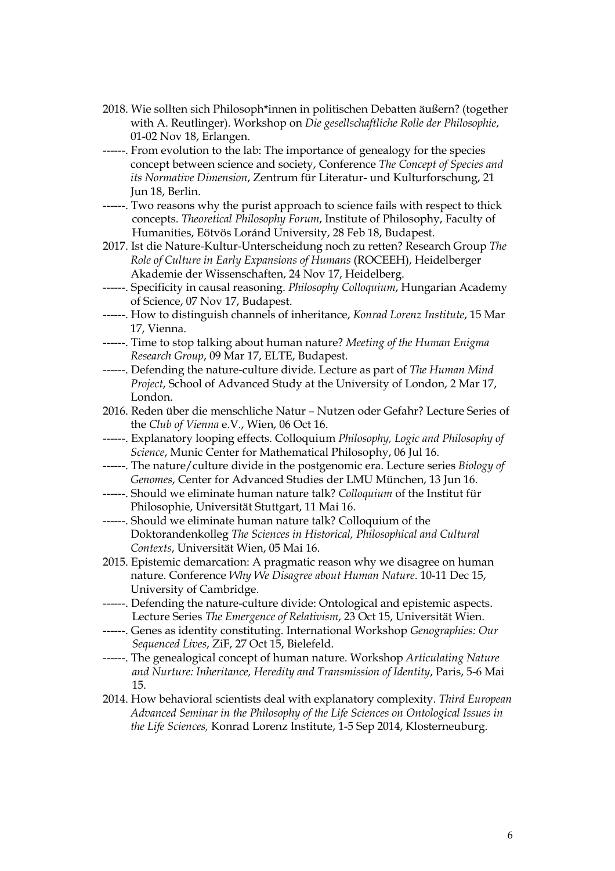- 2018. Wie sollten sich Philosoph\*innen in politischen Debatten äußern? (together with A. Reutlinger). Workshop on *Die gesellschaftliche Rolle der Philosophie*, 01-02 Nov 18, Erlangen.
- ------. From evolution to the lab: The importance of genealogy for the species concept between science and society, Conference *The Concept of Species and its Normative Dimension*, Zentrum für Literatur- und Kulturforschung, 21 Jun 18, Berlin.
- ------. Two reasons why the purist approach to science fails with respect to thick concepts. *Theoretical Philosophy Forum*, Institute of Philosophy, Faculty of Humanities, Eötvös Loránd University, 28 Feb 18, Budapest.
- 2017. Ist die Nature-Kultur-Unterscheidung noch zu retten? Research Group *The Role of Culture in Early Expansions of Humans* (ROCEEH), Heidelberger Akademie der Wissenschaften, 24 Nov 17, Heidelberg.
- ------. Specificity in causal reasoning. *Philosophy Colloquium*, Hungarian Academy of Science, 07 Nov 17, Budapest.
- ------. How to distinguish channels of inheritance, *Konrad Lorenz Institute*, 15 Mar 17, Vienna.
- ------. Time to stop talking about human nature? *Meeting of the Human Enigma Research Group*, 09 Mar 17, ELTE, Budapest.
- ------. Defending the nature-culture divide. Lecture as part of *The Human Mind Project*, School of Advanced Study at the University of London, 2 Mar 17, London.
- 2016. Reden über die menschliche Natur Nutzen oder Gefahr? Lecture Series of the *Club of Vienna* e.V., Wien, 06 Oct 16.
- ------. Explanatory looping effects. Colloquium *Philosophy, Logic and Philosophy of Science*, Munic Center for Mathematical Philosophy, 06 Jul 16.
- ------. The nature/culture divide in the postgenomic era. Lecture series *Biology of Genomes*, Center for Advanced Studies der LMU München, 13 Jun 16.
- ------. Should we eliminate human nature talk? *Colloquium* of the Institut für Philosophie, Universität Stuttgart, 11 Mai 16.
- ------. Should we eliminate human nature talk? Colloquium of the Doktorandenkolleg *The Sciences in Historical, Philosophical and Cultural Contexts*, Universität Wien, 05 Mai 16.
- 2015. Epistemic demarcation: A pragmatic reason why we disagree on human nature. Conference *Why We Disagree about Human Nature*. 10-11 Dec 15, University of Cambridge.
- ------. Defending the nature-culture divide: Ontological and epistemic aspects. Lecture Series *The Emergence of Relativism*, 23 Oct 15, Universität Wien.
- ------. Genes as identity constituting. International Workshop *Genographies: Our Sequenced Lives*, ZiF, 27 Oct 15, Bielefeld.
- ------. The genealogical concept of human nature. Workshop *Articulating Nature and Nurture: Inheritance, Heredity and Transmission of Identity*, Paris, 5-6 Mai 15.
- 2014. How behavioral scientists deal with explanatory complexity. *Third European Advanced Seminar in the Philosophy of the Life Sciences on Ontological Issues in the Life Sciences,* Konrad Lorenz Institute, 1-5 Sep 2014, Klosterneuburg.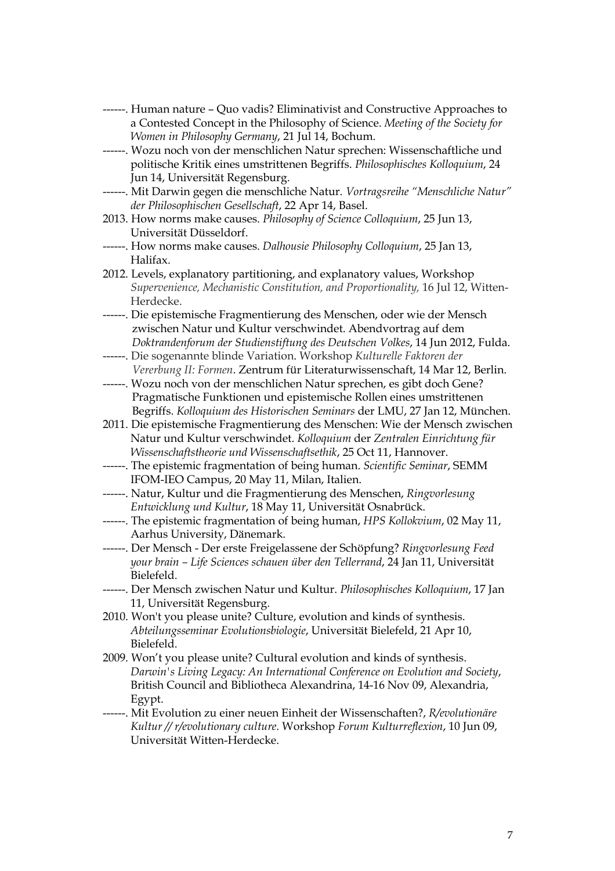- ------. Human nature Quo vadis? Eliminativist and Constructive Approaches to a Contested Concept in the Philosophy of Science. *Meeting of the Society for Women in Philosophy Germany*, 21 Jul 14, Bochum.
- ------. Wozu noch von der menschlichen Natur sprechen: Wissenschaftliche und politische Kritik eines umstrittenen Begriffs. *Philosophisches Kolloquium*, 24 Jun 14, Universität Regensburg.
- ------. Mit Darwin gegen die menschliche Natur. *Vortragsreihe "Menschliche Natur" der Philosophischen Gesellschaft*, 22 Apr 14, Basel.
- 2013. How norms make causes. *Philosophy of Science Colloquium*, 25 Jun 13, Universität Düsseldorf.
- ------. How norms make causes. *Dalhousie Philosophy Colloquium*, 25 Jan 13, Halifax.
- 2012. Levels, explanatory partitioning, and explanatory values, Workshop *Supervenience, Mechanistic Constitution, and Proportionality,* 16 Jul 12, Witten-Herdecke.
- ------. Die epistemische Fragmentierung des Menschen, oder wie der Mensch zwischen Natur und Kultur verschwindet. Abendvortrag auf dem *Doktrandenforum der Studienstiftung des Deutschen Volkes*, 14 Jun 2012, Fulda.
- ------. Die sogenannte blinde Variation. Workshop *Kulturelle Faktoren der Vererbung II: Formen*. Zentrum für Literaturwissenschaft, 14 Mar 12, Berlin.
- ------. Wozu noch von der menschlichen Natur sprechen, es gibt doch Gene? Pragmatische Funktionen und epistemische Rollen eines umstrittenen Begriffs. *Kolloquium des Historischen Seminars* der LMU, 27 Jan 12, München.
- 2011. Die epistemische Fragmentierung des Menschen: Wie der Mensch zwischen Natur und Kultur verschwindet. *Kolloquium* der *Zentralen Einrichtung für Wissenschaftstheorie und Wissenschaftsethik*, 25 Oct 11, Hannover.
- ------. The epistemic fragmentation of being human. *Scientific Seminar*, SEMM IFOM-IEO Campus, 20 May 11, Milan, Italien.
- ------. Natur, Kultur und die Fragmentierung des Menschen, *Ringvorlesung Entwicklung und Kultur*, 18 May 11, Universität Osnabrück.
- ------. The epistemic fragmentation of being human, *HPS Kollokvium*, 02 May 11, Aarhus University, Dänemark.
- ------. Der Mensch Der erste Freigelassene der Schöpfung? *Ringvorlesung Feed your brain – Life Sciences schauen über den Tellerrand*, 24 Jan 11, Universität Bielefeld.
- ------. Der Mensch zwischen Natur und Kultur. *Philosophisches Kolloquium*, 17 Jan 11, Universität Regensburg.
- 2010. Won't you please unite? Culture, evolution and kinds of synthesis. *Abteilungsseminar Evolutionsbiologie*, Universität Bielefeld, 21 Apr 10, Bielefeld.
- 2009. Won't you please unite? Cultural evolution and kinds of synthesis. *Darwin's Living Legacy: An International Conference on Evolution and Society*, British Council and Bibliotheca Alexandrina, 14-16 Nov 09, Alexandria, Egypt.
- ------. Mit Evolution zu einer neuen Einheit der Wissenschaften?, *R/evolutionäre Kultur // r/evolutionary culture.* Workshop *Forum Kulturreflexion*, 10 Jun 09, Universität Witten-Herdecke.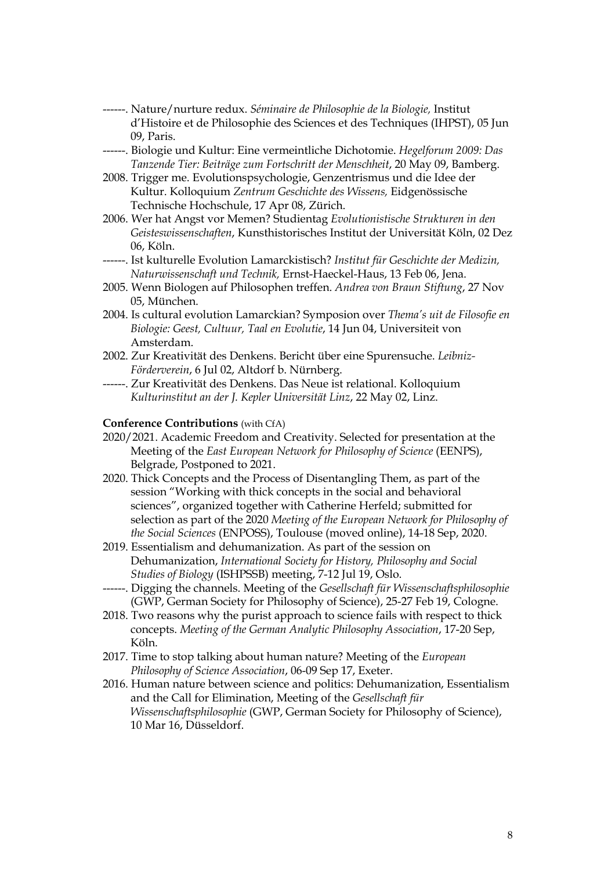- ------. Nature/nurture redux. *Séminaire de Philosophie de la Biologie,* Institut d'Histoire et de Philosophie des Sciences et des Techniques (IHPST), 05 Jun 09, Paris.
- ------. Biologie und Kultur: Eine vermeintliche Dichotomie. *Hegelforum 2009: Das Tanzende Tier: Beiträge zum Fortschritt der Menschheit*, 20 May 09, Bamberg.
- 2008. Trigger me. Evolutionspsychologie, Genzentrismus und die Idee der Kultur. Kolloquium *Zentrum Geschichte des Wissens,* Eidgenössische Technische Hochschule, 17 Apr 08, Zürich.
- 2006. Wer hat Angst vor Memen? Studientag *Evolutionistische Strukturen in den Geisteswissenschaften*, Kunsthistorisches Institut der Universität Köln, 02 Dez 06, Köln.
- ------. Ist kulturelle Evolution Lamarckistisch? *Institut für Geschichte der Medizin, Naturwissenschaft und Technik,* Ernst-Haeckel-Haus, 13 Feb 06, Jena.
- 2005. Wenn Biologen auf Philosophen treffen. *Andrea von Braun Stiftung*, 27 Nov 05, München.
- 2004. Is cultural evolution Lamarckian? Symposion over *Thema's uit de Filosofie en Biologie: Geest, Cultuur, Taal en Evolutie*, 14 Jun 04, Universiteit von Amsterdam.
- 2002. Zur Kreativität des Denkens. Bericht über eine Spurensuche. *Leibniz-Förderverein*, 6 Jul 02, Altdorf b. Nürnberg.
- ------. Zur Kreativität des Denkens. Das Neue ist relational. Kolloquium *Kulturinstitut an der J. Kepler Universität Linz*, 22 May 02, Linz.

# **Conference Contributions** (with CfA)

- 2020/2021. Academic Freedom and Creativity. Selected for presentation at the Meeting of the *East European Network for Philosophy of Science* (EENPS), Belgrade, Postponed to 2021.
- 2020. Thick Concepts and the Process of Disentangling Them, as part of the session "Working with thick concepts in the social and behavioral sciences", organized together with Catherine Herfeld; submitted for selection as part of the 2020 *Meeting of the European Network for Philosophy of the Social Sciences* (ENPOSS), Toulouse (moved online), 14-18 Sep, 2020.
- 2019. Essentialism and dehumanization. As part of the session on Dehumanization, *International Society for History, Philosophy and Social Studies of Biology* (ISHPSSB) meeting, 7-12 Jul 19, Oslo.
- ------. Digging the channels. Meeting of the *Gesellschaft für Wissenschaftsphilosophie* (GWP, German Society for Philosophy of Science), 25-27 Feb 19, Cologne.
- 2018. Two reasons why the purist approach to science fails with respect to thick concepts. *Meeting of the German Analytic Philosophy Association*, 17-20 Sep, Köln.
- 2017. Time to stop talking about human nature? Meeting of the *European Philosophy of Science Association*, 06-09 Sep 17, Exeter.
- 2016. Human nature between science and politics: Dehumanization, Essentialism and the Call for Elimination, Meeting of the *Gesellschaft für Wissenschaftsphilosophie* (GWP, German Society for Philosophy of Science), 10 Mar 16, Düsseldorf.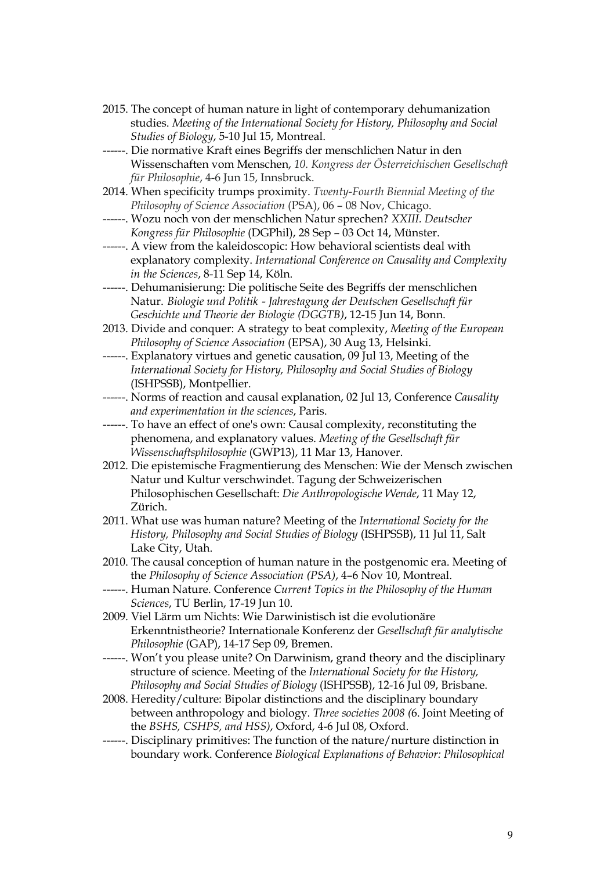- 2015. The concept of human nature in light of contemporary dehumanization studies. *Meeting of the International Society for History, Philosophy and Social Studies of Biology*, 5-10 Jul 15, Montreal.
- ------. Die normative Kraft eines Begriffs der menschlichen Natur in den Wissenschaften vom Menschen, *10. Kongress der Österreichischen Gesellschaft für Philosophie*, 4-6 Jun 15, Innsbruck.
- 2014. When specificity trumps proximity. *Twenty-Fourth Biennial Meeting of the Philosophy of Science Association* (PSA), 06 – 08 Nov, Chicago.
- ------. Wozu noch von der menschlichen Natur sprechen? *XXIII. Deutscher Kongress für Philosophie* (DGPhil), 28 Sep – 03 Oct 14, Münster.
- ------. A view from the kaleidoscopic: How behavioral scientists deal with explanatory complexity. *International Conference on Causality and Complexity in the Sciences*, 8-11 Sep 14, Köln.
- ------. Dehumanisierung: Die politische Seite des Begriffs der menschlichen Natur. *Biologie und Politik - Jahrestagung der Deutschen Gesellschaft für Geschichte und Theorie der Biologie (DGGTB)*, 12-15 Jun 14, Bonn.
- 2013. Divide and conquer: A strategy to beat complexity, *Meeting of the European Philosophy of Science Association* (EPSA), 30 Aug 13, Helsinki.
- ------. Explanatory virtues and genetic causation, 09 Jul 13, Meeting of the *International Society for History, Philosophy and Social Studies of Biology*  (ISHPSSB), Montpellier.
- ------. Norms of reaction and causal explanation, 02 Jul 13, Conference *Causality and experimentation in the sciences*, Paris.
- ------. To have an effect of one's own: Causal complexity, reconstituting the phenomena, and explanatory values. *Meeting of the Gesellschaft für Wissenschaftsphilosophie* (GWP13), 11 Mar 13, Hanover.
- 2012. Die epistemische Fragmentierung des Menschen: Wie der Mensch zwischen Natur und Kultur verschwindet. Tagung der Schweizerischen Philosophischen Gesellschaft: *Die Anthropologische Wende*, 11 May 12, Zürich.
- 2011. What use was human nature? Meeting of the *International Society for the History, Philosophy and Social Studies of Biology* (ISHPSSB), 11 Jul 11, Salt Lake City, Utah.
- 2010. The causal conception of human nature in the postgenomic era. Meeting of the *Philosophy of Science Association (PSA)*, 4–6 Nov 10, Montreal.
- ------. Human Nature. Conference *Current Topics in the Philosophy of the Human Sciences*, TU Berlin, 17-19 Jun 10.
- 2009. Viel Lärm um Nichts: Wie Darwinistisch ist die evolutionäre Erkenntnistheorie? Internationale Konferenz der *Gesellschaft für analytische Philosophie* (GAP), 14-17 Sep 09, Bremen.
- ------. Won't you please unite? On Darwinism, grand theory and the disciplinary structure of science. Meeting of the *International Society for the History, Philosophy and Social Studies of Biology* (ISHPSSB), 12-16 Jul 09, Brisbane.
- 2008. Heredity/culture: Bipolar distinctions and the disciplinary boundary between anthropology and biology. *Three societies 2008 (*6. Joint Meeting of the *BSHS, CSHPS, and HSS)*, Oxford, 4-6 Jul 08, Oxford.
- ------. Disciplinary primitives: The function of the nature/nurture distinction in boundary work. Conference *Biological Explanations of Behavior: Philosophical*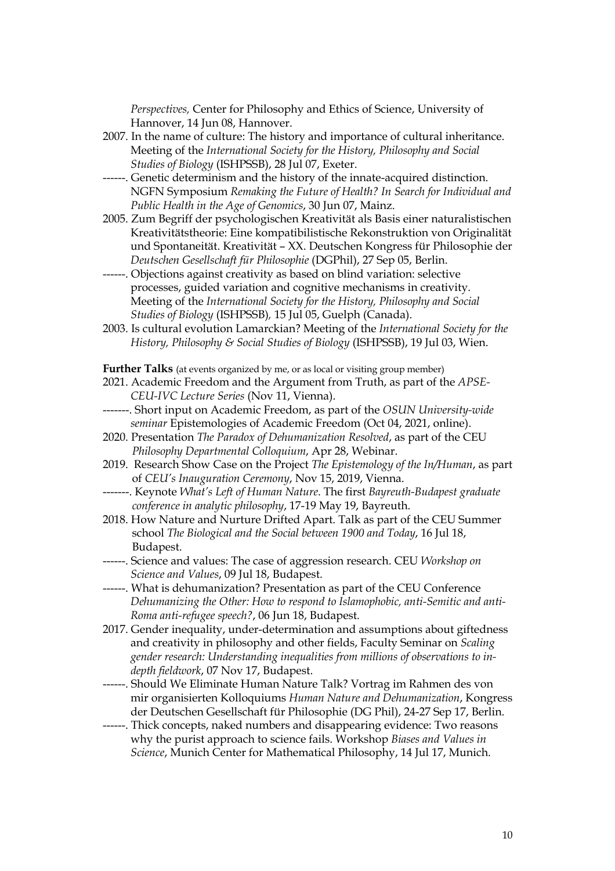*Perspectives,* Center for Philosophy and Ethics of Science, University of Hannover, 14 Jun 08, Hannover.

- 2007. In the name of culture: The history and importance of cultural inheritance. Meeting of the *International Society for the History, Philosophy and Social Studies of Biology* (ISHPSSB), 28 Jul 07, Exeter.
- ------. Genetic determinism and the history of the innate-acquired distinction. NGFN Symposium *Remaking the Future of Health? In Search for Individual and Public Health in the Age of Genomics*, 30 Jun 07, Mainz.
- 2005. Zum Begriff der psychologischen Kreativität als Basis einer naturalistischen Kreativitätstheorie: Eine kompatibilistische Rekonstruktion von Originalität und Spontaneität. Kreativität – XX. Deutschen Kongress für Philosophie der *Deutschen Gesellschaft für Philosophie* (DGPhil), 27 Sep 05, Berlin.
- ------. Objections against creativity as based on blind variation: selective processes, guided variation and cognitive mechanisms in creativity. Meeting of the *International Society for the History, Philosophy and Social Studies of Biology* (ISHPSSB)*,* 15 Jul 05, Guelph (Canada).
- 2003. Is cultural evolution Lamarckian? Meeting of the *International Society for the History, Philosophy & Social Studies of Biology* (ISHPSSB), 19 Jul 03, Wien.

**Further Talks** (at events organized by me, or as local or visiting group member)

- 2021. Academic Freedom and the Argument from Truth, as part of the *APSE-CEU-IVC Lecture Series* (Nov 11, Vienna).
- -------. Short input on Academic Freedom, as part of the *OSUN University-wide seminar* Epistemologies of Academic Freedom (Oct 04, 2021, online).
- 2020. Presentation *The Paradox of Dehumanization Resolved*, as part of the CEU *Philosophy Departmental Colloquium*, Apr 28, Webinar.
- 2019. Research Show Case on the Project *The Epistemology of the In/Human*, as part of *CEU's Inauguration Ceremony*, Nov 15, 2019, Vienna.
- -------. Keynote *What's Left of Human Nature*. The first *Bayreuth-Budapest graduate conference in analytic philosophy*, 17-19 May 19, Bayreuth.
- 2018. How Nature and Nurture Drifted Apart. Talk as part of the CEU Summer school *The Biological and the Social between 1900 and Today*, 16 Jul 18, Budapest.
- ------. Science and values: The case of aggression research. CEU *Workshop on Science and Values*, 09 Jul 18, Budapest.
- ------. What is dehumanization? Presentation as part of the CEU Conference *Dehumanizing the Other: How to respond to Islamophobic, anti-Semitic and anti-Roma anti-refugee speech?*, 06 Jun 18, Budapest*.*
- 2017. Gender inequality, under-determination and assumptions about giftedness and creativity in philosophy and other fields, Faculty Seminar on *Scaling gender research: Understanding inequalities from millions of observations to indepth fieldwork*, 07 Nov 17, Budapest.
- ------. Should We Eliminate Human Nature Talk? Vortrag im Rahmen des von mir organisierten Kolloquiums *Human Nature and Dehumanization*, Kongress der Deutschen Gesellschaft für Philosophie (DG Phil), 24-27 Sep 17, Berlin.
- ------. Thick concepts, naked numbers and disappearing evidence: Two reasons why the purist approach to science fails. Workshop *Biases and Values in Science*, Munich Center for Mathematical Philosophy, 14 Jul 17, Munich.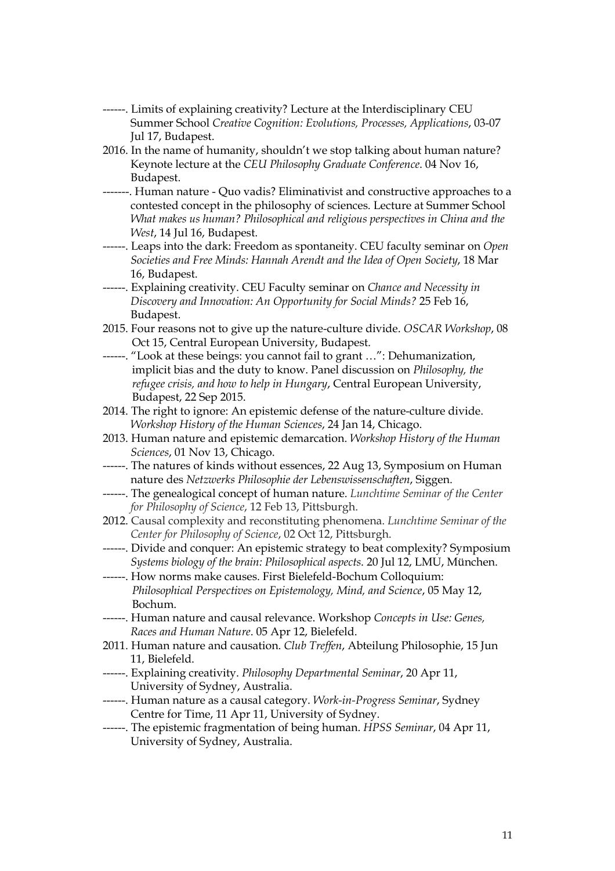- ------. Limits of explaining creativity? Lecture at the Interdisciplinary CEU Summer School *Creative Cognition: Evolutions, Processes, Applications*, 03-07 Jul 17, Budapest.
- 2016. In the name of humanity, shouldn't we stop talking about human nature? Keynote lecture at the *CEU Philosophy Graduate Conference*. 04 Nov 16, Budapest.
- -------. Human nature Quo vadis? Eliminativist and constructive approaches to a contested concept in the philosophy of sciences. Lecture at Summer School *What makes us human? Philosophical and religious perspectives in China and the West*, 14 Jul 16, Budapest.
- ------. Leaps into the dark: Freedom as spontaneity. CEU faculty seminar on *Open Societies and Free Minds: Hannah Arendt and the Idea of Open Society*, 18 Mar 16, Budapest.
- ------. Explaining creativity. CEU Faculty seminar on *Chance and Necessity in Discovery and Innovation: An Opportunity for Social Minds?* 25 Feb 16, Budapest.
- 2015. Four reasons not to give up the nature-culture divide. *OSCAR Workshop*, 08 Oct 15, Central European University, Budapest.
- ------. "Look at these beings: you cannot fail to grant …": Dehumanization, implicit bias and the duty to know. Panel discussion on *Philosophy, the refugee crisis, and how to help in Hungary*, Central European University, Budapest, 22 Sep 2015.
- 2014. The right to ignore: An epistemic defense of the nature-culture divide. *Workshop History of the Human Sciences*, 24 Jan 14, Chicago.
- 2013. Human nature and epistemic demarcation. *Workshop History of the Human Sciences*, 01 Nov 13, Chicago.
- ------. The natures of kinds without essences, 22 Aug 13, Symposium on Human nature des *Netzwerks Philosophie der Lebenswissenschaften*, Siggen.
- ------. The genealogical concept of human nature. *Lunchtime Seminar of the Center for Philosophy of Science*, 12 Feb 13, Pittsburgh.
- 2012. Causal complexity and reconstituting phenomena. *Lunchtime Seminar of the Center for Philosophy of Science*, 02 Oct 12, Pittsburgh.
- ------. Divide and conquer: An epistemic strategy to beat complexity? Symposium *Systems biology of the brain: Philosophical aspects*. 20 Jul 12, LMU, München.
- ------. How norms make causes. First Bielefeld-Bochum Colloquium: *Philosophical Perspectives on Epistemology, Mind, and Science*, 05 May 12, Bochum.
- ------. Human nature and causal relevance. Workshop *Concepts in Use: Genes, Races and Human Nature*. 05 Apr 12, Bielefeld.
- 2011. Human nature and causation. *Club Treffen*, Abteilung Philosophie, 15 Jun 11, Bielefeld.
- ------. Explaining creativity. *Philosophy Departmental Seminar*, 20 Apr 11, University of Sydney, Australia.
- ------. Human nature as a causal category. *Work-in-Progress Seminar*, Sydney Centre for Time, 11 Apr 11, University of Sydney.
- ------. The epistemic fragmentation of being human. *HPSS Seminar*, 04 Apr 11, University of Sydney, Australia.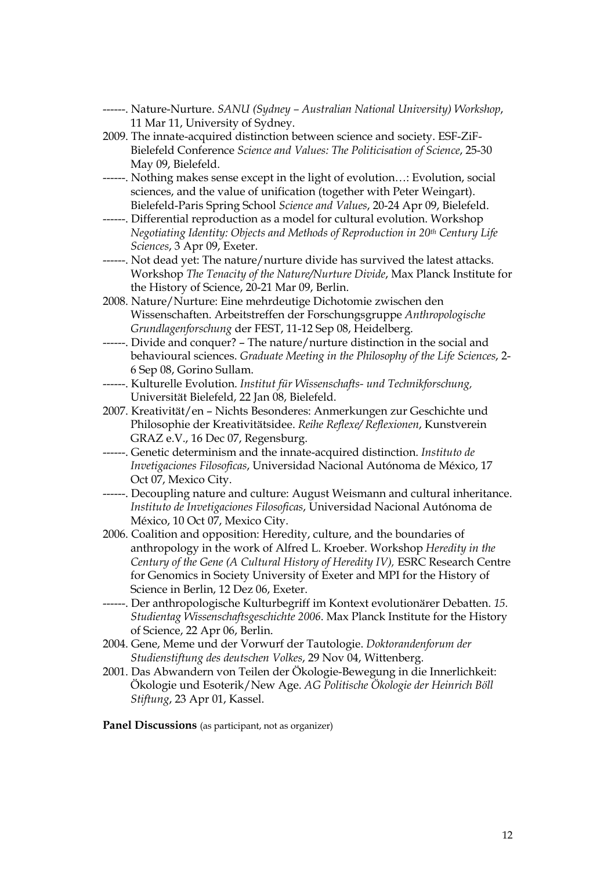- ------. Nature-Nurture. *SANU (Sydney – Australian National University) Workshop*, 11 Mar 11, University of Sydney.
- 2009. The innate-acquired distinction between science and society. ESF-ZiF-Bielefeld Conference *Science and Values: The Politicisation of Science*, 25-30 May 09, Bielefeld.
- ------. Nothing makes sense except in the light of evolution…: Evolution, social sciences, and the value of unification (together with Peter Weingart). Bielefeld-Paris Spring School *Science and Values*, 20-24 Apr 09, Bielefeld.
- ------. Differential reproduction as a model for cultural evolution. Workshop *Negotiating Identity: Objects and Methods of Reproduction in 20th Century Life Sciences*, 3 Apr 09, Exeter.
- ------. Not dead yet: The nature/nurture divide has survived the latest attacks. Workshop *The Tenacity of the Nature/Nurture Divide*, Max Planck Institute for the History of Science, 20-21 Mar 09, Berlin.
- 2008. Nature/Nurture: Eine mehrdeutige Dichotomie zwischen den Wissenschaften. Arbeitstreffen der Forschungsgruppe *Anthropologische Grundlagenforschung* der FEST, 11-12 Sep 08, Heidelberg.
- ------. Divide and conquer? The nature/nurture distinction in the social and behavioural sciences. *Graduate Meeting in the Philosophy of the Life Sciences*, 2- 6 Sep 08, Gorino Sullam.
- ------. Kulturelle Evolution. *Institut für Wissenschafts- und Technikforschung,* Universität Bielefeld, 22 Jan 08, Bielefeld.
- 2007. Kreativität/en Nichts Besonderes: Anmerkungen zur Geschichte und Philosophie der Kreativitätsidee. *Reihe Reflexe/ Reflexionen*, Kunstverein GRAZ e.V., 16 Dec 07, Regensburg.
- ------. Genetic determinism and the innate-acquired distinction. *Instituto de Invetigaciones Filosoficas*, Universidad Nacional Autónoma de México, 17 Oct 07, Mexico City.
- ------. Decoupling nature and culture: August Weismann and cultural inheritance. *Instituto de Invetigaciones Filosoficas*, Universidad Nacional Autónoma de México, 10 Oct 07, Mexico City.
- 2006. Coalition and opposition: Heredity, culture, and the boundaries of anthropology in the work of Alfred L. Kroeber. Workshop *Heredity in the Century of the Gene (A Cultural History of Heredity IV),* ESRC Research Centre for Genomics in Society University of Exeter and MPI for the History of Science in Berlin, 12 Dez 06, Exeter.
- ------. Der anthropologische Kulturbegriff im Kontext evolutionärer Debatten. *15. Studientag Wissenschaftsgeschichte 2006*. Max Planck Institute for the History of Science, 22 Apr 06, Berlin.
- 2004. Gene, Meme und der Vorwurf der Tautologie. *Doktorandenforum der Studienstiftung des deutschen Volkes*, 29 Nov 04, Wittenberg.
- 2001. Das Abwandern von Teilen der Ökologie-Bewegung in die Innerlichkeit: Ökologie und Esoterik/New Age. *AG Politische Ökologie der Heinrich Böll Stiftung*, 23 Apr 01, Kassel.

**Panel Discussions** (as participant, not as organizer)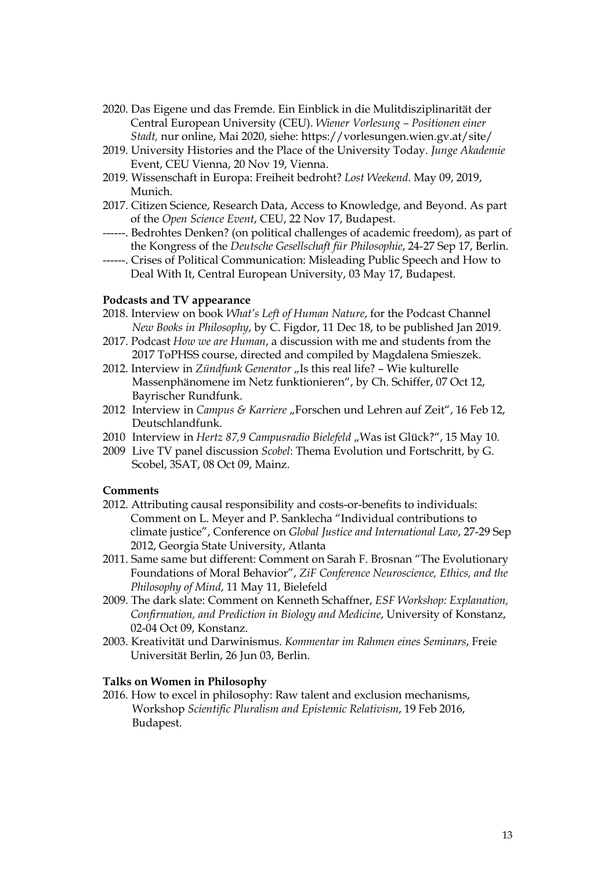- 2020. Das Eigene und das Fremde. Ein Einblick in die Mulitdisziplinarität der Central European University (CEU). *Wiener Vorlesung – Positionen einer Stadt,* nur online, Mai 2020, siehe: https://vorlesungen.wien.gv.at/site/
- 2019. University Histories and the Place of the University Today. *Junge Akademie* Event, CEU Vienna, 20 Nov 19, Vienna.
- 2019. Wissenschaft in Europa: Freiheit bedroht? *Lost Weekend*. May 09, 2019, Munich.
- 2017. Citizen Science, Research Data, Access to Knowledge, and Beyond. As part of the *Open Science Event*, CEU, 22 Nov 17, Budapest.
- ------. Bedrohtes Denken? (on political challenges of academic freedom), as part of the Kongress of the *Deutsche Gesellschaft für Philosophie*, 24-27 Sep 17, Berlin.
- ------. Crises of Political Communication: Misleading Public Speech and How to Deal With It, Central European University, 03 May 17, Budapest.

### **Podcasts and TV appearance**

- 2018. Interview on book *What's Left of Human Nature*, for the Podcast Channel *New Books in Philosophy*, by C. Figdor, 11 Dec 18, to be published Jan 2019.
- 2017. Podcast *How we are Human*, a discussion with me and students from the 2017 ToPHSS course, directed and compiled by Magdalena Smieszek.
- 2012. Interview in *Zündfunk Generator* "Is this real life? Wie kulturelle Massenphänomene im Netz funktionieren", by Ch. Schiffer, 07 Oct 12, Bayrischer Rundfunk.
- 2012 Interview in *Campus & Karriere* "Forschen und Lehren auf Zeit", 16 Feb 12, Deutschlandfunk.
- 2010 Interview in *Hertz 87,9 Campusradio Bielefeld "Was ist Glück?"*, 15 May 10.
- 2009 Live TV panel discussion *Scobel*: Thema Evolution und Fortschritt, by G. Scobel, 3SAT, 08 Oct 09, Mainz.

### **Comments**

- 2012. Attributing causal responsibility and costs-or-benefits to individuals: Comment on L. Meyer and P. Sanklecha "Individual contributions to climate justice", Conference on *Global Justice and International Law*, 27-29 Sep 2012, Georgia State University, Atlanta
- 2011. Same same but different: Comment on Sarah F. Brosnan "The Evolutionary Foundations of Moral Behavior", *ZiF Conference Neuroscience, Ethics, and the Philosophy of Mind*, 11 May 11, Bielefeld
- 2009. The dark slate: Comment on Kenneth Schaffner, *ESF Workshop: Explanation, Confirmation, and Prediction in Biology and Medicine*, University of Konstanz, 02-04 Oct 09, Konstanz.
- 2003. Kreativität und Darwinismus. *Kommentar im Rahmen eines Seminars*, Freie Universität Berlin, 26 Jun 03, Berlin.

#### **Talks on Women in Philosophy**

2016. How to excel in philosophy: Raw talent and exclusion mechanisms, Workshop *Scientific Pluralism and Epistemic Relativism*, 19 Feb 2016, Budapest.